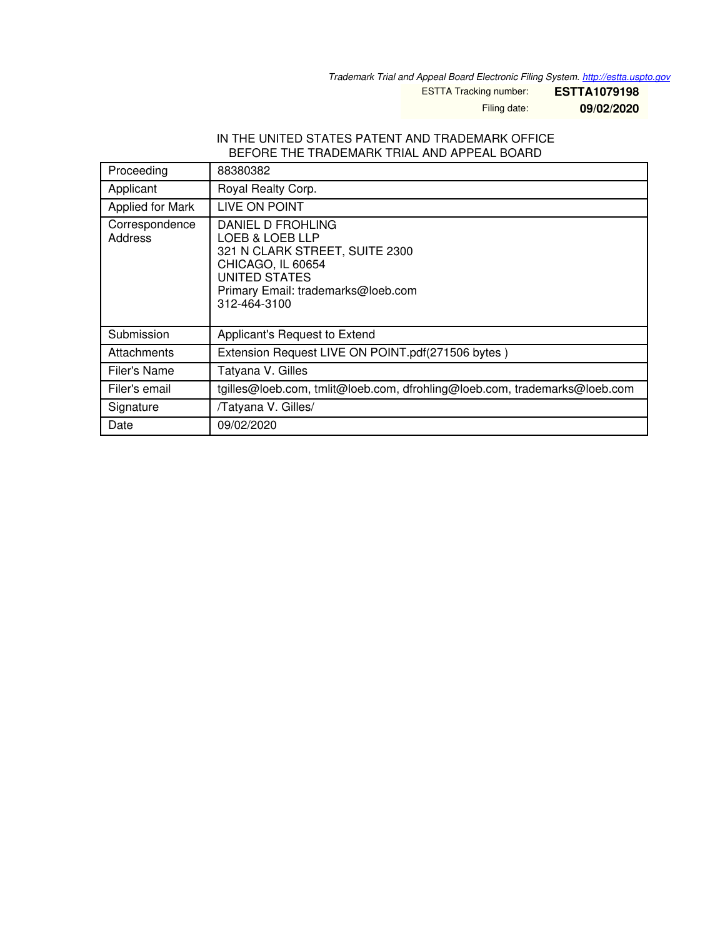*Trademark Trial and Appeal Board Electronic Filing System. <http://estta.uspto.gov>*

ESTTA Tracking number: **ESTTA1079198**

Filing date: **09/02/2020**

### IN THE UNITED STATES PATENT AND TRADEMARK OFFICE BEFORE THE TRADEMARK TRIAL AND APPEAL BOARD

| Proceeding                | 88380382                                                                                                                                                           |
|---------------------------|--------------------------------------------------------------------------------------------------------------------------------------------------------------------|
| Applicant                 | Royal Realty Corp.                                                                                                                                                 |
| Applied for Mark          | LIVE ON POINT                                                                                                                                                      |
| Correspondence<br>Address | DANIEL D FROHLING<br>LOEB & LOEB LLP<br>321 N CLARK STREET, SUITE 2300<br>CHICAGO, IL 60654<br>UNITED STATES<br>Primary Email: trademarks@loeb.com<br>312-464-3100 |
| Submission                | Applicant's Request to Extend                                                                                                                                      |
| Attachments               | Extension Request LIVE ON POINT.pdf(271506 bytes)                                                                                                                  |
| Filer's Name              | Tatyana V. Gilles                                                                                                                                                  |
| Filer's email             | tgilles@loeb.com, tmlit@loeb.com, dfrohling@loeb.com, trademarks@loeb.com                                                                                          |
| Signature                 | /Tatyana V. Gilles/                                                                                                                                                |
| Date                      | 09/02/2020                                                                                                                                                         |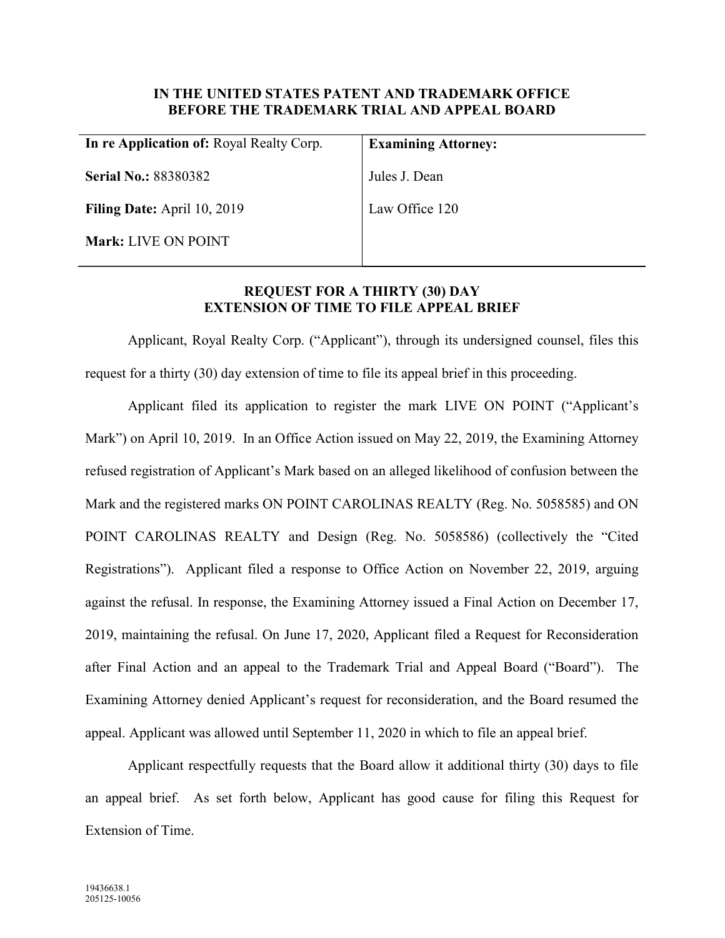# IN THE UNITED STATES PATENT AND TRADEMARK OFFICE BEFORE THE TRADEMARK TRIAL AND APPEAL BOARD

| In re Application of: Royal Realty Corp. | <b>Examining Attorney:</b> |
|------------------------------------------|----------------------------|
| <b>Serial No.: 88380382</b>              | Jules J. Dean              |
| <b>Filing Date:</b> April 10, 2019       | Law Office 120             |
| <b>Mark: LIVE ON POINT</b>               |                            |
|                                          |                            |

## REQUEST FOR A THIRTY (30) DAY EXTENSION OF TIME TO FILE APPEAL BRIEF

Applicant, Royal Realty Corp. ("Applicant"), through its undersigned counsel, files this request for a thirty (30) day extension of time to file its appeal brief in this proceeding.

Applicant filed its application to register the mark LIVE ON POINT ("Applicant's Mark") on April 10, 2019. In an Office Action issued on May 22, 2019, the Examining Attorney refused registration of Applicant's Mark based on an alleged likelihood of confusion between the Mark and the registered marks ON POINT CAROLINAS REALTY (Reg. No. 5058585) and ON POINT CAROLINAS REALTY and Design (Reg. No. 5058586) (collectively the "Cited Registrations"). Applicant filed a response to Office Action on November 22, 2019, arguing against the refusal. In response, the Examining Attorney issued a Final Action on December 17, 2019, maintaining the refusal. On June 17, 2020, Applicant filed a Request for Reconsideration after Final Action and an appeal to the Trademark Trial and Appeal Board ("Board"). The Examining Attorney denied Applicant's request for reconsideration, and the Board resumed the appeal. Applicant was allowed until September 11, 2020 in which to file an appeal brief.

Applicant respectfully requests that the Board allow it additional thirty (30) days to file an appeal brief. As set forth below, Applicant has good cause for filing this Request for Extension of Time.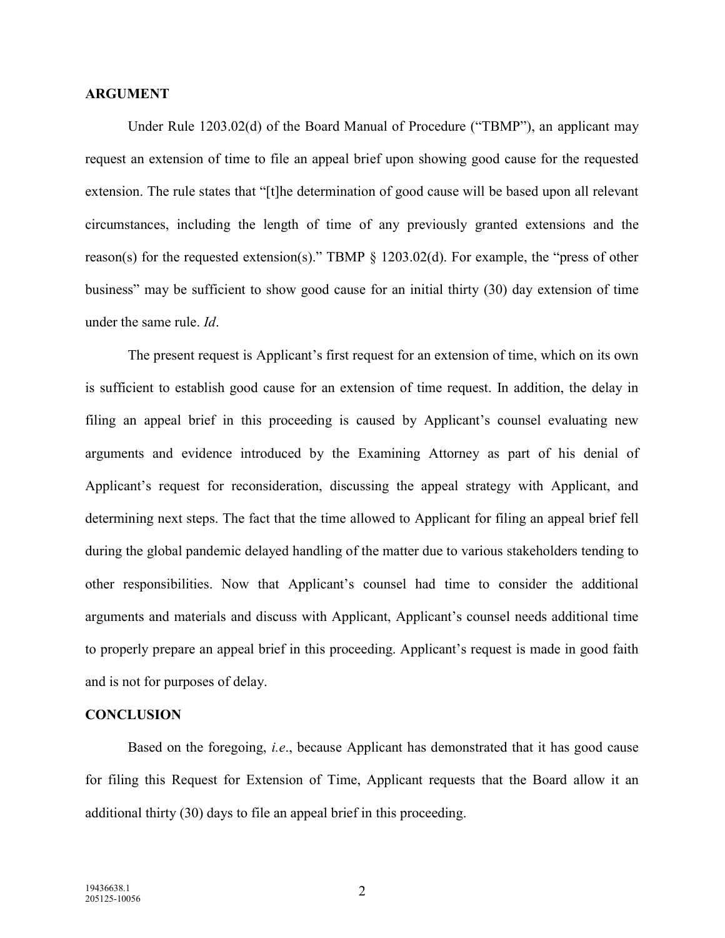### ARGUMENT

Under Rule 1203.02(d) of the Board Manual of Procedure ("TBMP"), an applicant may request an extension of time to file an appeal brief upon showing good cause for the requested extension. The rule states that "[t]he determination of good cause will be based upon all relevant circumstances, including the length of time of any previously granted extensions and the reason(s) for the requested extension(s)." TBMP § 1203.02(d). For example, the "press of other business" may be sufficient to show good cause for an initial thirty (30) day extension of time under the same rule. Id.

The present request is Applicant's first request for an extension of time, which on its own is sufficient to establish good cause for an extension of time request. In addition, the delay in filing an appeal brief in this proceeding is caused by Applicant's counsel evaluating new arguments and evidence introduced by the Examining Attorney as part of his denial of Applicant's request for reconsideration, discussing the appeal strategy with Applicant, and determining next steps. The fact that the time allowed to Applicant for filing an appeal brief fell during the global pandemic delayed handling of the matter due to various stakeholders tending to other responsibilities. Now that Applicant's counsel had time to consider the additional arguments and materials and discuss with Applicant, Applicant's counsel needs additional time to properly prepare an appeal brief in this proceeding. Applicant's request is made in good faith and is not for purposes of delay.

### **CONCLUSION**

Based on the foregoing, *i.e.*, because Applicant has demonstrated that it has good cause for filing this Request for Extension of Time, Applicant requests that the Board allow it an additional thirty (30) days to file an appeal brief in this proceeding.